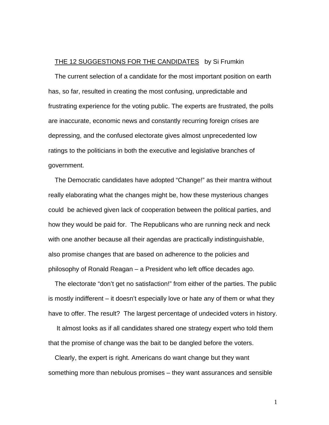## THE 12 SUGGESTIONS FOR THE CANDIDATES by Si Frumkin

The current selection of a candidate for the most important position on earth has, so far, resulted in creating the most confusing, unpredictable and frustrating experience for the voting public. The experts are frustrated, the polls are inaccurate, economic news and constantly recurring foreign crises are depressing, and the confused electorate gives almost unprecedented low ratings to the politicians in both the executive and legislative branches of government.

The Democratic candidates have adopted "Change!" as their mantra without really elaborating what the changes might be, how these mysterious changes could be achieved given lack of cooperation between the political parties, and how they would be paid for. The Republicans who are running neck and neck with one another because all their agendas are practically indistinguishable, also promise changes that are based on adherence to the policies and philosophy of Ronald Reagan – a President who left office decades ago.

The electorate "don't get no satisfaction!" from either of the parties. The public is mostly indifferent – it doesn't especially love or hate any of them or what they have to offer. The result? The largest percentage of undecided voters in history.

 It almost looks as if all candidates shared one strategy expert who told them that the promise of change was the bait to be dangled before the voters.

Clearly, the expert is right. Americans do want change but they want something more than nebulous promises – they want assurances and sensible

1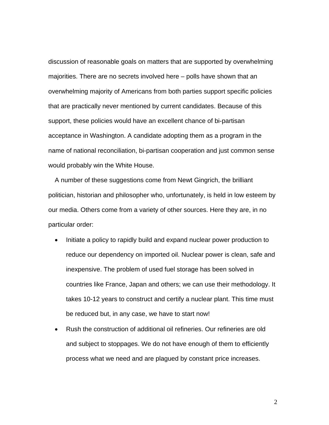discussion of reasonable goals on matters that are supported by overwhelming majorities. There are no secrets involved here – polls have shown that an overwhelming majority of Americans from both parties support specific policies that are practically never mentioned by current candidates. Because of this support, these policies would have an excellent chance of bi-partisan acceptance in Washington. A candidate adopting them as a program in the name of national reconciliation, bi-partisan cooperation and just common sense would probably win the White House.

A number of these suggestions come from Newt Gingrich, the brilliant politician, historian and philosopher who, unfortunately, is held in low esteem by our media. Others come from a variety of other sources. Here they are, in no particular order:

- Initiate a policy to rapidly build and expand nuclear power production to reduce our dependency on imported oil. Nuclear power is clean, safe and inexpensive. The problem of used fuel storage has been solved in countries like France, Japan and others; we can use their methodology. It takes 10-12 years to construct and certify a nuclear plant. This time must be reduced but, in any case, we have to start now!
- Rush the construction of additional oil refineries. Our refineries are old and subject to stoppages. We do not have enough of them to efficiently process what we need and are plagued by constant price increases.

2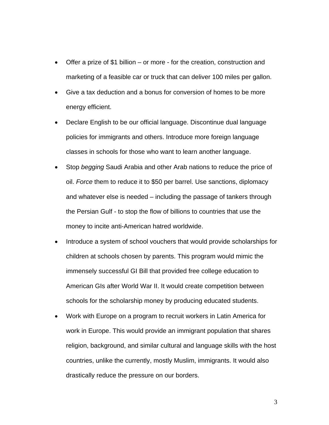- Offer a prize of \$1 billion or more for the creation, construction and marketing of a feasible car or truck that can deliver 100 miles per gallon.
- Give a tax deduction and a bonus for conversion of homes to be more energy efficient.
- Declare English to be our official language. Discontinue dual language policies for immigrants and others. Introduce more foreign language classes in schools for those who want to learn another language.
- Stop *begging* Saudi Arabia and other Arab nations to reduce the price of oil. *Force* them to reduce it to \$50 per barrel. Use sanctions, diplomacy and whatever else is needed – including the passage of tankers through the Persian Gulf - to stop the flow of billions to countries that use the money to incite anti-American hatred worldwide.
- Introduce a system of school vouchers that would provide scholarships for children at schools chosen by parents. This program would mimic the immensely successful GI Bill that provided free college education to American GIs after World War II. It would create competition between schools for the scholarship money by producing educated students.
- Work with Europe on a program to recruit workers in Latin America for work in Europe. This would provide an immigrant population that shares religion, background, and similar cultural and language skills with the host countries, unlike the currently, mostly Muslim, immigrants. It would also drastically reduce the pressure on our borders.